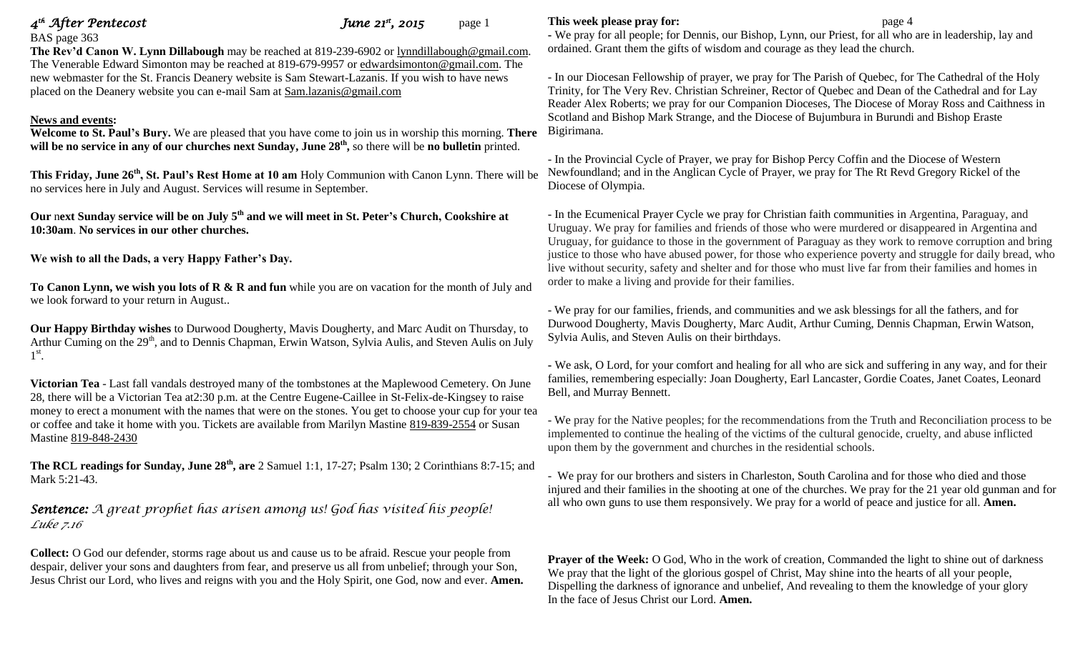# *4 th After Pentecost June 21st*

*June* 21<sup>st</sup>, 2015 page 1

BAS page 363 **The Rev'd Canon W. Lynn Dillabough** may be reached at 819-239-6902 o[r lynndillabough@gmail.com.](mailto:lynndillabough@gmail.com) The Venerable Edward Simonton may be reached at 819-679-9957 or [edwardsimonton@gmail.com.](mailto:edwardsimonton@gmail.com) The new webmaster for the St. Francis Deanery website is Sam Stewart-Lazanis. If you wish to have news placed on the Deanery website you can e-mail Sam at [Sam.lazanis@gmail.com](mailto:Sam.lazanis@gmail.com)

## **News and events:**

**Welcome to St. Paul's Bury.** We are pleased that you have come to join us in worship this morning. **There**  will be no service in any of our churches next Sunday, June 28<sup>th</sup>, so there will be no bulletin printed.

**This Friday, June 26th, St. Paul's Rest Home at 10 am** Holy Communion with Canon Lynn. There will be no services here in July and August. Services will resume in September.

**Our** n**ext Sunday service will be on July 5 th and we will meet in St. Peter's Church, Cookshire at 10:30am**. **No services in our other churches.** 

**We wish to all the Dads, a very Happy Father's Day.**

**To Canon Lynn, we wish you lots of R & R and fun** while you are on vacation for the month of July and we look forward to your return in August..

**Our Happy Birthday wishes** to Durwood Dougherty, Mavis Dougherty, and Marc Audit on Thursday, to Arthur Cuming on the 29<sup>th</sup>, and to Dennis Chapman, Erwin Watson, Sylvia Aulis, and Steven Aulis on July 1 st .

**Victorian Tea** - Last fall vandals destroyed many of the tombstones at the Maplewood Cemetery. On June 28, there will be a Victorian Tea at2:30 p.m. at the Centre Eugene-Caillee in St-Felix-de-Kingsey to raise money to erect a monument with the names that were on the stones. You get to choose your cup for your tea or coffee and take it home with you. Tickets are available from Marilyn Mastine [819-839-2554](tel:819-839-2554) or Susan Mastine [819-848-2430](tel:819-848-2430)

**The RCL readings for Sunday, June 28th, are** 2 Samuel 1:1, 17-27; Psalm 130; 2 Corinthians 8:7-15; and Mark 5:21-43.

*Sentence: A great prophet has arisen among us! God has visited his people! Luke 7.16* 

**Collect:** O God our defender, storms rage about us and cause us to be afraid. Rescue your people from despair, deliver your sons and daughters from fear, and preserve us all from unbelief; through your Son, Jesus Christ our Lord, who lives and reigns with you and the Holy Spirit, one God, now and ever. **Amen.**

## **This week please pray for:**  $page 4$

**-** We pray for all people; for Dennis, our Bishop, Lynn, our Priest, for all who are in leadership, lay and ordained. Grant them the gifts of wisdom and courage as they lead the church.

- In our Diocesan Fellowship of prayer, we pray for The Parish of Quebec, for The Cathedral of the Holy Trinity, for The Very Rev. Christian Schreiner, Rector of Quebec and Dean of the Cathedral and for Lay Reader Alex Roberts; we pray for our Companion Dioceses, The Diocese of Moray Ross and Caithness in Scotland and Bishop Mark Strange, and the Diocese of Bujumbura in Burundi and Bishop Eraste Bigirimana.

- In the Provincial Cycle of Prayer, we pray for Bishop Percy Coffin and the Diocese of Western Newfoundland; and in the Anglican Cycle of Prayer, we pray for The Rt Revd Gregory Rickel of the Diocese of Olympia.

- In the Ecumenical Prayer Cycle we pray for Christian faith communities in Argentina, Paraguay, and Uruguay. We pray for families and friends of those who were murdered or disappeared in Argentina and Uruguay, for guidance to those in the government of Paraguay as they work to remove corruption and bring justice to those who have abused power, for those who experience poverty and struggle for daily bread, who live without security, safety and shelter and for those who must live far from their families and homes in order to make a living and provide for their families.

- We pray for our families, friends, and communities and we ask blessings for all the fathers, and for Durwood Dougherty, Mavis Dougherty, Marc Audit, Arthur Cuming, Dennis Chapman, Erwin Watson, Sylvia Aulis, and Steven Aulis on their birthdays.

**-** We ask, O Lord, for your comfort and healing for all who are sick and suffering in any way, and for their families, remembering especially: Joan Dougherty, Earl Lancaster, Gordie Coates, Janet Coates, Leonard Bell, and Murray Bennett.

- We pray for the Native peoples; for the recommendations from the Truth and Reconciliation process to be implemented to continue the healing of the victims of the cultural genocide, cruelty, and abuse inflicted upon them by the government and churches in the residential schools.

- We pray for our brothers and sisters in Charleston, South Carolina and for those who died and those injured and their families in the shooting at one of the churches. We pray for the 21 year old gunman and for all who own guns to use them responsively. We pray for a world of peace and justice for all. **Amen.**

**Prayer of the Week:** O God, Who in the work of creation, Commanded the light to shine out of darkness We pray that the light of the glorious gospel of Christ, May shine into the hearts of all your people, Dispelling the darkness of ignorance and unbelief, And revealing to them the knowledge of your glory In the face of Jesus Christ our Lord. **Amen.**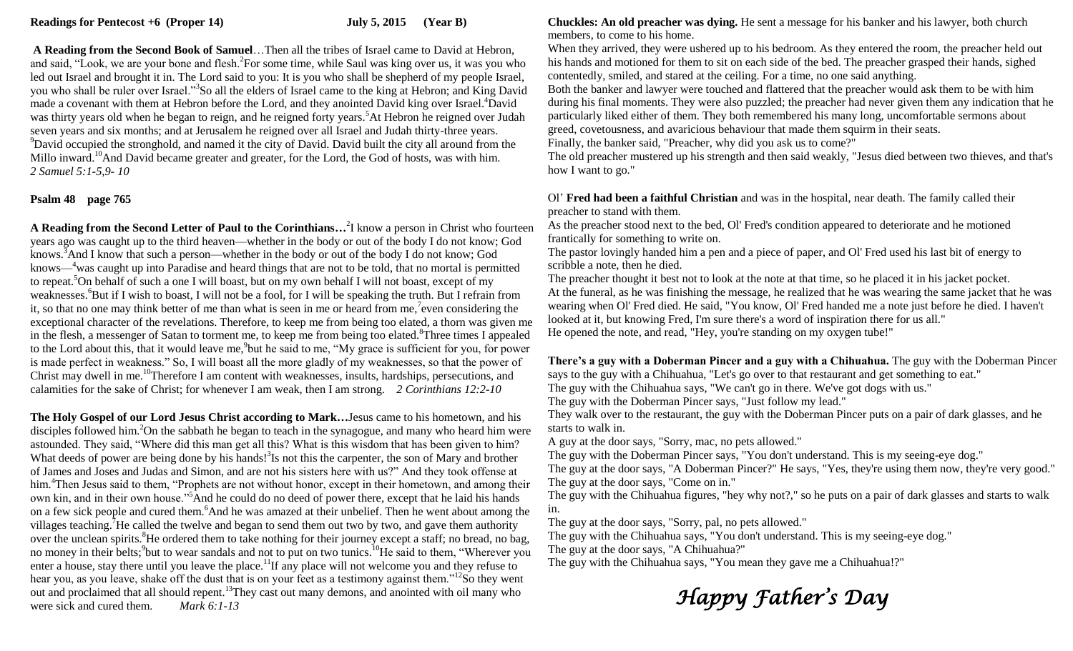**A Reading from the Second Book of Samuel**…Then all the tribes of Israel came to David at Hebron, and said, "Look, we are your bone and flesh.<sup>2</sup> For some time, while Saul was king over us, it was you who led out Israel and brought it in. The Lord said to you: It is you who shall be shepherd of my people Israel, you who shall be ruler over Israel."<sup>3</sup>So all the elders of Israel came to the king at Hebron; and King David made a covenant with them at Hebron before the Lord, and they anointed David king over Israel.<sup>4</sup>David was thirty years old when he began to reign, and he reigned forty years.<sup>5</sup>At Hebron he reigned over Judah seven years and six months; and at Jerusalem he reigned over all Israel and Judah thirty-three years. <sup>9</sup>David occupied the stronghold, and named it the city of David. David built the city all around from the Millo inward.<sup>10</sup>And David became greater and greater, for the Lord, the God of hosts, was with him. *2 Samuel 5:1-5,9- 10*

### **Psalm 48 page 765**

**A Reading from the Second Letter of Paul to the Corinthians…**<sup>2</sup> I know a person in Christ who fourteen years ago was caught up to the third heaven—whether in the body or out of the body I do not know; God knows.<sup>3</sup>And I know that such a person—whether in the body or out of the body I do not know; God knows—<sup>4</sup>was caught up into Paradise and heard things that are not to be told, that no mortal is permitted to repeat.<sup>5</sup>On behalf of such a one I will boast, but on my own behalf I will not boast, except of my weaknesses.<sup>6</sup>But if I wish to boast, I will not be a fool, for I will be speaking the truth. But I refrain from it, so that no one may think better of me than what is seen in me or heard from me,<sup>7</sup> even considering the exceptional character of the revelations. Therefore, to keep me from being too elated, a thorn was given me in the flesh, a messenger of Satan to torment me, to keep me from being too elated.<sup>8</sup>Three times I appealed to the Lord about this, that it would leave me,<sup>9</sup>but he said to me, "My grace is sufficient for you, for power is made perfect in weakness." So, I will boast all the more gladly of my weaknesses, so that the power of Christ may dwell in me.<sup>10</sup>Therefore I am content with weaknesses, insults, hardships, persecutions, and calamities for the sake of Christ; for whenever I am weak, then I am strong. *2 Corinthians 12:2-10*

**The Holy Gospel of our Lord Jesus Christ according to Mark…**Jesus came to his hometown, and his disciples followed him.<sup>2</sup>On the sabbath he began to teach in the synagogue, and many who heard him were astounded. They said, "Where did this man get all this? What is this wisdom that has been given to him? What deeds of power are being done by his hands!<sup>3</sup>Is not this the carpenter, the son of Mary and brother of James and Joses and Judas and Simon, and are not his sisters here with us?" And they took offense at him.<sup>4</sup>Then Jesus said to them, "Prophets are not without honor, except in their hometown, and among their own kin, and in their own house."<sup>5</sup>And he could do no deed of power there, except that he laid his hands on a few sick people and cured them.<sup>6</sup>And he was amazed at their unbelief. Then he went about among the villages teaching. <sup>7</sup>He called the twelve and began to send them out two by two, and gave them authority over the unclean spirits.<sup>8</sup>He ordered them to take nothing for their journey except a staff; no bread, no bag, no money in their belts;<sup>9</sup>but to wear sandals and not to put on two tunics.<sup>10</sup>He said to them, "Wherever you enter a house, stay there until you leave the place.<sup>11</sup>If any place will not welcome you and they refuse to hear you, as you leave, shake off the dust that is on your feet as a testimony against them."<sup>12</sup>So they went out and proclaimed that all should repent.<sup>13</sup>They cast out many demons, and anointed with oil many who were sick and cured them. *Mark 6:1-13*

**Chuckles: An old preacher was dying.** He sent a message for his banker and his lawyer, both church members, to come to his home.

When they arrived, they were ushered up to his bedroom. As they entered the room, the preacher held out his hands and motioned for them to sit on each side of the bed. The preacher grasped their hands, sighed contentedly, smiled, and stared at the ceiling. For a time, no one said anything.

Both the banker and lawyer were touched and flattered that the preacher would ask them to be with him during his final moments. They were also puzzled; the preacher had never given them any indication that he particularly liked either of them. They both remembered his many long, uncomfortable sermons about greed, covetousness, and avaricious behaviour that made them squirm in their seats.

Finally, the banker said, "Preacher, why did you ask us to come?"

The old preacher mustered up his strength and then said weakly, "Jesus died between two thieves, and that's how I want to go."

Ol' **Fred had been a faithful Christian** and was in the hospital, near death. The family called their preacher to stand with them.

As the preacher stood next to the bed, Ol' Fred's condition appeared to deteriorate and he motioned frantically for something to write on.

The pastor lovingly handed him a pen and a piece of paper, and Ol' Fred used his last bit of energy to scribble a note, then he died.

The preacher thought it best not to look at the note at that time, so he placed it in his jacket pocket. At the funeral, as he was finishing the message, he realized that he was wearing the same jacket that he was wearing when Ol' Fred died. He said, "You know, Ol' Fred handed me a note just before he died. I haven't looked at it, but knowing Fred, I'm sure there's a word of inspiration there for us all." He opened the note, and read, "Hey, you're standing on my oxygen tube!"

**There's a guy with a Doberman Pincer and a guy with a Chihuahua.** The guy with the Doberman Pincer says to the guy with a Chihuahua, "Let's go over to that restaurant and get something to eat."

The guy with the Chihuahua says, "We can't go in there. We've got dogs with us."

The guy with the Doberman Pincer says, "Just follow my lead."

They walk over to the restaurant, the guy with the Doberman Pincer puts on a pair of dark glasses, and he starts to walk in.

A guy at the door says, "Sorry, mac, no pets allowed."

The guy with the Doberman Pincer says, "You don't understand. This is my seeing-eye dog."

The guy at the door says, "A Doberman Pincer?" He says, "Yes, they're using them now, they're very good." The guy at the door says, "Come on in."

The guy with the Chihuahua figures, "hey why not?," so he puts on a pair of dark glasses and starts to walk in.

The guy at the door says, "Sorry, pal, no pets allowed."

The guy with the Chihuahua says, "You don't understand. This is my seeing-eye dog."

The guy at the door says, "A Chihuahua?"

The guy with the Chihuahua says, "You mean they gave me a Chihuahua!?"

 *Happy Father's Day*